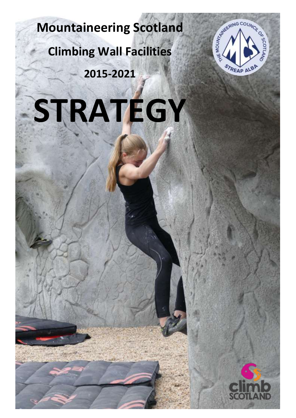# **Mountaineering Scotland**

**Climbing Wall Facilities** 

**2015-2021**





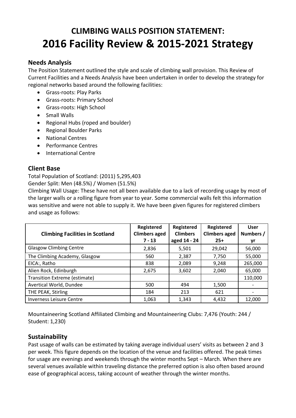# **CLIMBING WALLS POSITION STATEMENT: 2016 Facility Review & 2015-2021 Strategy**

## **Needs Analysis**

The Position Statement outlined the style and scale of climbing wall provision. This Review of Current Facilities and a Needs Analysis have been undertaken in order to develop the strategy for regional networks based around the following facilities:

- Grass-roots: Play Parks
- Grass-roots: Primary School
- Grass-roots: High School
- Small Walls
- Regional Hubs (roped and boulder)
- Regional Boulder Parks
- National Centres
- Performance Centres
- International Centre

## **Client Base**

Total Population of Scotland: (2011) 5,295,403

Gender Split: Men (48.5%) / Women (51.5%)

Climbing Wall Usage: These have not all been available due to a lack of recording usage by most of the larger walls or a rolling figure from year to year. Some commercial walls felt this information was sensitive and were not able to supply it. We have been given figures for registered climbers and usage as follows:

| <b>Climbing Facilities in Scotland</b> | Registered<br><b>Climbers aged</b><br>$7 - 13$ | Registered<br><b>Climbers</b><br>aged 14 - 24 | Registered<br><b>Climbers aged</b><br>$25+$ | <b>User</b><br>Numbers /<br>yr |
|----------------------------------------|------------------------------------------------|-----------------------------------------------|---------------------------------------------|--------------------------------|
| <b>Glasgow Climbing Centre</b>         | 2,836                                          | 5.501                                         | 29,042                                      | 56,000                         |
| The Climbing Academy, Glasgow          | 560                                            | 2,387                                         | 7,750                                       | 55,000                         |
| EICA:, Ratho                           | 838                                            | 2,089                                         | 9,248                                       | 265,000                        |
| Alien Rock, Edinburgh                  | 2,675                                          | 3,602                                         | 2,040                                       | 65,000                         |
| Transition Extreme (estimate)          |                                                |                                               |                                             | 110,000                        |
| Avertical World, Dundee                | 500                                            | 494                                           | 1,500                                       |                                |
| THE PEAK, Stirling                     | 184                                            | 213                                           | 621                                         |                                |
| <b>Inverness Leisure Centre</b>        | 1,063                                          | 1,343                                         | 4,432                                       | 12,000                         |

Mountaineering Scotland Affiliated Climbing and Mountaineering Clubs: 7,476 (Youth: 244 / Student: 1,230)

## **Sustainability**

Past usage of walls can be estimated by taking average individual users' visits as between 2 and 3 per week. This figure depends on the location of the venue and facilities offered. The peak times for usage are evenings and weekends through the winter months Sept – March. When there are several venues available within traveling distance the preferred option is also often based around ease of geographical access, taking account of weather through the winter months.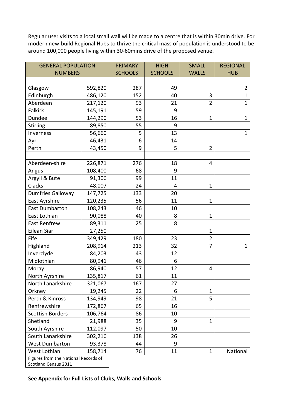Regular user visits to a local small wall will be made to a centre that is within 30min drive. For modern new-build Regional Hubs to thrive the critical mass of population is understood to be around 100,000 people living within 30-60mins drive of the proposed venue.

| <b>GENERAL POPULATION</b>            |         | <b>PRIMARY</b> | <b>HIGH</b>    | <b>SMALL</b>   | <b>REGIONAL</b> |
|--------------------------------------|---------|----------------|----------------|----------------|-----------------|
| <b>NUMBERS</b>                       |         | <b>SCHOOLS</b> | <b>SCHOOLS</b> | <b>WALLS</b>   | <b>HUB</b>      |
|                                      |         |                |                |                |                 |
| Glasgow                              | 592,820 | 287            | 49             |                | $\overline{2}$  |
| Edinburgh                            | 486,120 | 152            | 40             | 3              | $\mathbf{1}$    |
| Aberdeen                             | 217,120 | 93             | 21             | $\overline{2}$ | $\mathbf{1}$    |
| <b>Falkirk</b>                       | 145,191 | 59             | 9              |                |                 |
| Dundee                               | 144,290 | 53             | 16             | $\mathbf{1}$   | $\mathbf{1}$    |
| <b>Stirling</b>                      | 89,850  | 55             | 9              |                |                 |
| Inverness                            | 56,660  | 5              | 13             |                | $\mathbf{1}$    |
| Ayr                                  | 46,431  | 6              | 14             |                |                 |
| Perth                                | 43,450  | 9              | 5              | $\overline{2}$ |                 |
|                                      |         |                |                |                |                 |
| Aberdeen-shire                       | 226,871 | 276            | 18             | 4              |                 |
| Angus                                | 108,400 | 68             | 9              |                |                 |
| Argyll & Bute                        | 91,306  | 99             | 11             |                |                 |
| Clacks                               | 48,007  | 24             | 4              | $\mathbf{1}$   |                 |
| <b>Dumfries Galloway</b>             | 147,725 | 133            | 20             |                |                 |
| East Ayrshire                        | 120,235 | 56             | 11             | $\mathbf{1}$   |                 |
| <b>East Dumbarton</b>                | 108,243 | 46             | 10             |                |                 |
| East Lothian                         | 90,088  | 40             | 8              | $\mathbf{1}$   |                 |
| <b>East Renfrew</b>                  | 89,311  | 25             | 8              |                |                 |
| Eilean Siar                          | 27,250  |                |                | $\mathbf{1}$   |                 |
| Fife                                 | 349,429 | 180            | 23             | $\overline{2}$ |                 |
| Highland                             | 208,914 | 213            | 32             | 7              | $\mathbf{1}$    |
| Inverclyde                           | 84,203  | 43             | 12             |                |                 |
| Midlothian                           | 80,941  | 46             | 6              |                |                 |
| Moray                                | 86,940  | 57             | 12             | 4              |                 |
| North Ayrshire                       | 135,817 | 61             | 11             |                |                 |
| North Lanarkshire                    | 321,067 | 167            | 27             |                |                 |
| Orkney                               | 19,245  | 22             | 6              | $\mathbf{1}$   |                 |
| Perth & Kinross                      | 134,949 | 98             | 21             | 5              |                 |
| Renfrewshire                         | 172,867 | 65             | 16             |                |                 |
| <b>Scottish Borders</b>              | 106,764 | 86             | 10             |                |                 |
| Shetland                             | 21,988  | 35             | 9              | $\overline{1}$ |                 |
| South Ayrshire                       | 112,097 | 50             | 10             |                |                 |
| South Lanarkshire                    | 302,216 | 138            | 26             |                |                 |
| <b>West Dumbarton</b>                | 93,378  | 44             | 9              |                |                 |
| West Lothian                         | 158,714 | 76             | 11             | $\mathbf{1}$   | National        |
| Figures from the National Records of |         |                |                |                |                 |
| Scotland Census 2011                 |         |                |                |                |                 |

**See Appendix for Full Lists of Clubs, Walls and Schools**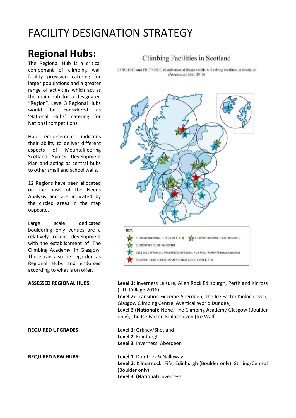# FACILITY DESIGNATION STRATEGY

# **Regional Hubs:**

The Regional Hub is a critical component of climbing wall facility provision catering for larger populations and a greater range of activities which act as the main hub for a designated "Region". Level 3 Regional Hubs would be considered as 'National Hubs' catering for National competitions.

Hub endorsement indicates their ability to deliver different aspects of Mountaineering Scotland Sports Development Plan and acting as central hubs to other small and school walls.

12 Regions have been allocated on the basis of the Needs Analysis and are indicated by the circled areas in the map opposite.

Large scale dedicated bouldering only venues are a relatively recent development with the establishment of 'The Climbing Academy' in Glasgow. These can also be regarded as Regional Hubs and endorsed according to what is on offer.

## Climbing Facilities in Scotland

CURRENT and PROPOSED distribution of Regional Hub climbing facilities in Scotland (Assessment May 2016)



**ASSESSED REGIONAL HUBS: Level 1:** Inverness Leisure, Alien Rock Edinburgh, Perth and Kinross (UHI College 2016)

**Level 2:** Transition Extreme Aberdeen, The Ice Factor Kinlochleven, Glasgow Climbing Centre, Avertical World Dundee, **Level 3 (National):** None, The Climbing Academy Glasgow (Boulder only), The Ice Factor, Kinlochleven (Ice Wall)

**REQUIRED UPGRADES**: **Level 1:** Orkney/Shetland **Level 2**: Edinburgh **Level 3**: Inverness, Aberdeen

**REQUIRED NEW HUBS: Level 1**: Dumfries & Galloway **Level 2**: Kilmarnock, Fife, Edinburgh (Boulder only), Stirling/Central (Boulder only) **Level 3**: **(National)** Inverness,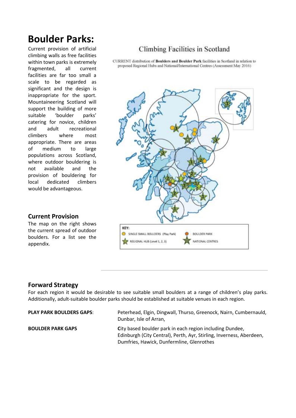# **Boulder Parks:**

Current provision of artificial climbing walls as free facilities within town parks is extremely fragmented, all current facilities are far too small a scale to be regarded as significant and the design is inappropriate for the sport. Mountaineering Scotland will support the building of more suitable 'boulder parks' catering for novice, children and adult recreational climbers where most appropriate. There are areas of medium to large populations across Scotland, where outdoor bouldering is not available and the provision of bouldering for local dedicated climbers would be advantageous.

#### **Current Provision**

The map on the right shows the current spread of outdoor boulders. For a list see the appendix.

# Climbing Facilities in Scotland

CURRENT distribution of Boulders and Boulder Park facilities in Scotland in relation to proposed Regional Hubs and National/International Centres (Assessment May 2016)



#### **Forward Strategy**

For each region it would be desirable to see suitable small boulders at a range of children's play parks. Additionally, adult-suitable boulder parks should be established at suitable venues in each region.

| <b>PLAY PARK BOULDERS GAPS:</b> | Peterhead, Elgin, Dingwall, Thurso, Greenock, Nairn, Cumbernauld,<br>Dunbar, Isle of Arran,                                                                                   |
|---------------------------------|-------------------------------------------------------------------------------------------------------------------------------------------------------------------------------|
| <b>BOULDER PARK GAPS</b>        | City based boulder park in each region including Dundee,<br>Edinburgh (City Central), Perth, Ayr, Stirling, Inverness, Aberdeen,<br>Dumfries, Hawick, Dunfermline, Glenrothes |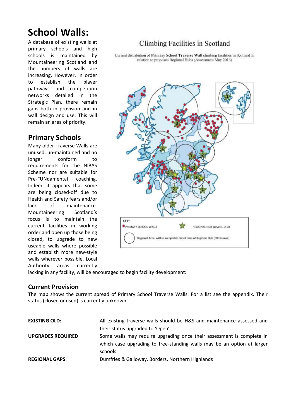# **School Walls:**

A database of existing walls at primary schools and high schools is maintained by Mountaineering Scotland and the numbers of walls are increasing. However, in order to establish the player pathways and competition networks detailed in the Strategic Plan, there remain gaps both in provision and in wall design and use. This will remain an area of priority.

# **Primary Schools**

Many older Traverse Walls are unused, un-maintained and no longer conform to requirements for the NIBAS Scheme nor are suitable for Pre-FUNdamental coaching. Indeed it appears that some are being closed-off due to Health and Safety fears and/or lack of maintenance. Mountaineering Scotland's focus is to maintain the current facilities in working order and open up those being closed, to upgrade to new useable walls where possible and establish more new-style walls wherever possible. Local Authority areas currently

# Climbing Facilities in Scotland

Current distribution of Primary School Traverse Wall climbing facilities in Scotland in relation to proposed Regional Hubs (Assessment May 2016)



lacking in any facility, will be encouraged to begin facility development:

#### **Current Provision**

The map shows the current spread of Primary School Traverse Walls. For a list see the appendix. Their status (closed or used) is currently unknown.

| <b>EXISTING OLD:</b>      | All existing traverse walls should be H&S and maintenance assessed and |
|---------------------------|------------------------------------------------------------------------|
|                           | their status upgraded to 'Open'.                                       |
| <b>UPGRADES REQUIRED:</b> | Some walls may require upgrading once their assessment is complete in  |
|                           | which case upgrading to free-standing walls may be an option at larger |
|                           | schools                                                                |
| <b>REGIONAL GAPS:</b>     | Dumfries & Galloway, Borders, Northern Highlands                       |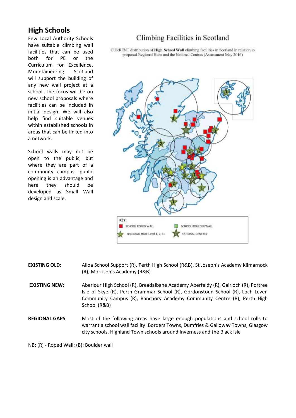# **High Schools**

Few Local Authority Schools have suitable climbing wall facilities that can be used both for PE or the Curriculum for Excellence. Mountaineering Scotland will support the building of any new wall project at a school. The focus will be on new school proposals where facilities can be included in initial design. We will also help find suitable venues within established schools in areas that can be linked into a network.

School walls may not be open to the public, but where they are part of a community campus, public opening is an advantage and here they should be developed as Small Wall design and scale.

# Climbing Facilities in Scotland

CURRENT distribution of High School Wall climbing facilities in Scotland in relation to proposed Regional Hubs and the National Centres (Assessment May 2016)



- **EXISTING OLD:** Alloa School Support (R), Perth High School (R&B), St Joseph's Academy Kilmarnock (R), Morrison's Academy (R&B)
- **EXISTING NEW:** Aberlour High School (R), Breadalbane Academy Aberfeldy (R), Gairloch (R), Portree Isle of Skye (R), Perth Grammar School (R), Gordonstoun School (R), Loch Leven Community Campus (R), Banchory Academy Community Centre (R), Perth High School (R&B)
- **REGIONAL GAPS**: Most of the following areas have large enough populations and school rolls to warrant a school wall facility: Borders Towns, Dumfries & Galloway Towns, Glasgow city schools, Highland Town schools around Inverness and the Black Isle

NB: (R) - Roped Wall; (B): Boulder wall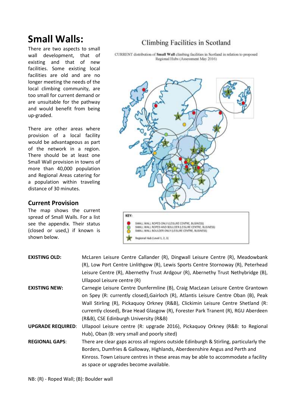# **Small Walls:**

There are two aspects to small wall development, that of existing and that of new facilities. Some existing local facilities are old and are no longer meeting the needs of the local climbing community, are too small for current demand or are unsuitable for the pathway and would benefit from being up-graded.

There are other areas where provision of a local facility would be advantageous as part of the network in a region. There should be at least one Small Wall provision in towns of more than 40,000 population and Regional Areas catering for a population within traveling distance of 30 minutes.

### **Current Provision**

The map shows the current spread of Small Walls. For a list see the appendix. Their status (closed or used,) if known is shown below.

# Climbing Facilities in Scotland

CURRENT distribution of Small Wall climbing facilities in Scotland in relation to proposed Regional Hubs (Assessment May 2016)



| <b>EXISTING OLD:</b>     | McLaren Leisure Centre Callander (R), Dingwall Leisure Centre (R), Meadowbank<br>(R), Low Port Centre Linlithgow (R), Lewis Sports Centre Stornoway (R), Peterhead<br>Leisure Centre (R), Abernethy Trust Ardgour (R), Abernethy Trust Nethybridge (B),<br>Ullapool Leisure centre (R)                                                                                                  |
|--------------------------|-----------------------------------------------------------------------------------------------------------------------------------------------------------------------------------------------------------------------------------------------------------------------------------------------------------------------------------------------------------------------------------------|
| <b>EXISTING NEW:</b>     | Carnegie Leisure Centre Dunfermline (B), Craig MacLean Leisure Centre Grantown<br>on Spey (R: currently closed), Gairloch (R), Atlantis Leisure Centre Oban (B), Peak<br>Wall Stirling (R), Pickaquoy Orkney (R&B), Clickimin Leisure Centre Shetland (R:<br>currently closed), Brae Head Glasgow (R), Forester Park Tranent (R), RGU Aberdeen<br>(R&B), CSE Edinburgh University (R&B) |
| <b>UPGRADE REQUIRED:</b> | Ullapool Leisure centre (R: upgrade 2016), Pickaquoy Orkney (R&B: to Regional<br>Hub), Oban (B: very small and poorly sited)                                                                                                                                                                                                                                                            |
| <b>REGIONAL GAPS:</b>    | There are clear gaps across all regions outside Edinburgh & Stirling, particularly the<br>Borders, Dumfries & Galloway, Highlands, Aberdeenshire Angus and Perth and<br>Kinross. Town Leisure centres in these areas may be able to accommodate a facility<br>as space or upgrades become available.                                                                                    |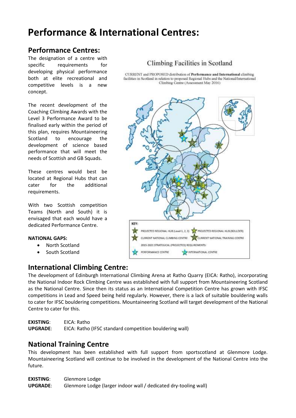# **Performance & International Centres:**

# **Performance Centres:**

The designation of a centre with specific requirements for developing physical performance both at elite recreational and competitive levels is a new concept.

The recent development of the Coaching Climbing Awards with the Level 3 Performance Award to be finalised early within the period of this plan, requires Mountaineering Scotland to encourage the development of science based performance that will meet the needs of Scottish and GB Squads.

These centres would best be located at Regional Hubs that can cater for the additional requirements.

With two Scottish competition Teams (North and South) it is envisaged that each would have a dedicated Performance Centre.

#### **NATIONAL GAPS:**

- North Scotland
- South Scotland

# **International Climbing Centre:**

## Climbing Facilities in Scotland

CURRENT and PROPOSED distribution of Performance and International climbing facilities in Scotland in relation to proposed Regional Hubs and the National/International Climbing Centre (Assessment May 2016)



The development of Edinburgh International Climbing Arena at Ratho Quarry (EICA: Ratho), incorporating the National Indoor Rock Climbing Centre was established with full support from Mountaineering Scotland as the National Centre. Since then its status as an International Competition Centre has grown with IFSC competitions in Lead and Speed being held regularly. However, there is a lack of suitable bouldering walls to cater for IFSC bouldering competitions. Mountaineering Scotland will target development of the National Centre to cater for this.

**EXISTING**: EICA: Ratho **UPGRADE**: EICA: Ratho (IFSC standard competition bouldering wall)

# **National Training Centre**

This development has been established with full support from sportscotland at Glenmore Lodge. Mountaineering Scotland will continue to be involved in the development of the National Centre into the future.

**EXISTING**: Glenmore Lodge **UPGRADE**: Glenmore Lodge (larger indoor wall / dedicated dry-tooling wall)